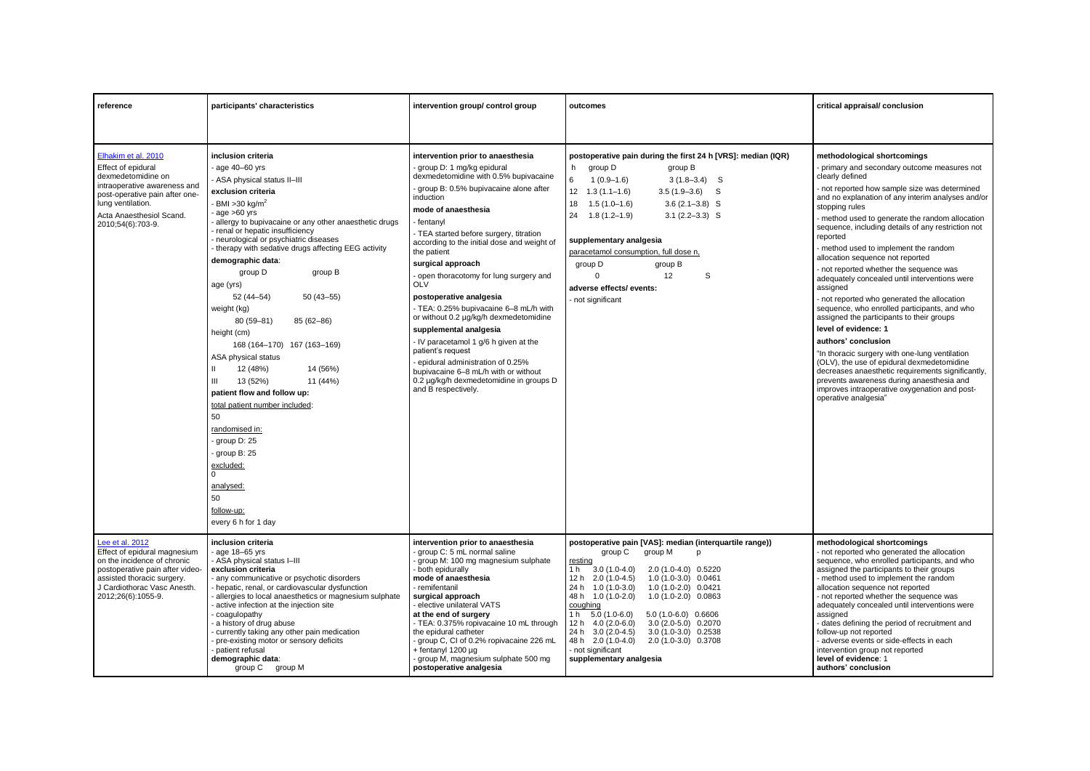| reference                                                                                                                                                                                               | participants' characteristics                                                                                                                                                                                                                                                                                                                                                                                                                                                                                                                                                                                                                                                                                                                                                                                    | intervention group/ control group                                                                                                                                                                                                                                                                                                                                                                                                                                                                                                                                                                                                                                                                                                        | outcomes                                                                                                                                                                                                                                                                                                                                                                                                                                                                                                                                        | critical appraisal/conclusion                                                                                                                                                                                                                                                                                                                                                                                                                                                                                                                                                                                                                                                                                                                                                                                                                                                                                                                                                                        |
|---------------------------------------------------------------------------------------------------------------------------------------------------------------------------------------------------------|------------------------------------------------------------------------------------------------------------------------------------------------------------------------------------------------------------------------------------------------------------------------------------------------------------------------------------------------------------------------------------------------------------------------------------------------------------------------------------------------------------------------------------------------------------------------------------------------------------------------------------------------------------------------------------------------------------------------------------------------------------------------------------------------------------------|------------------------------------------------------------------------------------------------------------------------------------------------------------------------------------------------------------------------------------------------------------------------------------------------------------------------------------------------------------------------------------------------------------------------------------------------------------------------------------------------------------------------------------------------------------------------------------------------------------------------------------------------------------------------------------------------------------------------------------------|-------------------------------------------------------------------------------------------------------------------------------------------------------------------------------------------------------------------------------------------------------------------------------------------------------------------------------------------------------------------------------------------------------------------------------------------------------------------------------------------------------------------------------------------------|------------------------------------------------------------------------------------------------------------------------------------------------------------------------------------------------------------------------------------------------------------------------------------------------------------------------------------------------------------------------------------------------------------------------------------------------------------------------------------------------------------------------------------------------------------------------------------------------------------------------------------------------------------------------------------------------------------------------------------------------------------------------------------------------------------------------------------------------------------------------------------------------------------------------------------------------------------------------------------------------------|
|                                                                                                                                                                                                         |                                                                                                                                                                                                                                                                                                                                                                                                                                                                                                                                                                                                                                                                                                                                                                                                                  |                                                                                                                                                                                                                                                                                                                                                                                                                                                                                                                                                                                                                                                                                                                                          |                                                                                                                                                                                                                                                                                                                                                                                                                                                                                                                                                 |                                                                                                                                                                                                                                                                                                                                                                                                                                                                                                                                                                                                                                                                                                                                                                                                                                                                                                                                                                                                      |
| Elhakim et al. 2010<br>Effect of epidural<br>dexmedetomidine on<br>intraoperative awareness and<br>post-operative pain after one-<br>lung ventilation.<br>Acta Anaesthesiol Scand.<br>2010;54(6):703-9. | inclusion criteria<br>$-$ aqe 40–60 yrs<br>ASA physical status II-III<br>exclusion criteria<br>$-BMI > 30 kg/m2$<br>$-aqe > 60$ yrs<br>allergy to bupivacaine or any other anaesthetic drugs<br>renal or hepatic insufficiency<br>neurological or psychiatric diseases<br>therapy with sedative drugs affecting EEG activity<br>demographic data:<br>group D<br>group B<br>age (yrs)<br>52 (44-54)<br>$50(43 - 55)$<br>weight (kg)<br>80 (59-81)<br>85 (62-86)<br>height (cm)<br>168 (164-170) 167 (163-169)<br>ASA physical status<br>$\mathbf{H}$<br>12 (48%)<br>14 (56%)<br>Ш<br>13 (52%)<br>11 (44%)<br>patient flow and follow up:<br>total patient number included:<br>50<br>randomised in:<br>group D: 25<br>group B: 25<br>excluded:<br>$\Omega$<br>analysed:<br>50<br>follow-up:<br>every 6 h for 1 day | intervention prior to anaesthesia<br>group D: 1 mg/kg epidural<br>dexmedetomidine with 0.5% bupivacaine<br>group B: 0.5% bupivacaine alone after<br>induction<br>mode of anaesthesia<br>fentanyl<br>- TEA started before surgery, titration<br>according to the initial dose and weight of<br>the patient<br>surgical approach<br>open thoracotomy for lung surgery and<br><b>OLV</b><br>postoperative analgesia<br>- TEA: 0.25% bupivacaine 6-8 mL/h with<br>or without 0.2 µg/kg/h dexmedetomidine<br>supplemental analgesia<br>IV paracetamol 1 g/6 h given at the<br>patient's request<br>epidural administration of 0.25%<br>bupivacaine 6-8 mL/h with or without<br>0.2 µg/kg/h dexmedetomidine in groups D<br>and B respectively. | postoperative pain during the first 24 h [VRS]: median (IQR)<br>group D<br>group B<br>h<br>6<br>$1(0.9-1.6)$<br>$3(1.8-3.4)$ S<br>$12 \quad 1.3(1.1-1.6)$<br>$3.5(1.9-3.6)$ S<br>$18$ 1.5 (1.0-1.6)<br>$3.6(2.1-3.8)$ S<br>$24$ 1.8 (1.2-1.9)<br>$3.1(2.2 - 3.3)$ S<br>supplementary analgesia<br>paracetamol consumption, full dose n,<br>group D<br>group B<br>12<br>S<br>$\Omega$<br>adverse effects/events:<br>not significant                                                                                                              | methodological shortcomings<br>primary and secondary outcome measures not<br>clearly defined<br>- not reported how sample size was determined<br>and no explanation of any interim analyses and/or<br>stopping rules<br>- method used to generate the random allocation<br>sequence, including details of any restriction not<br>reported<br>- method used to implement the random<br>allocation sequence not reported<br>- not reported whether the sequence was<br>adequately concealed until interventions were<br>assigned<br>- not reported who generated the allocation<br>sequence, who enrolled participants, and who<br>assigned the participants to their groups<br>level of evidence: 1<br>authors' conclusion<br>"In thoracic surgery with one-lung ventilation<br>(OLV), the use of epidural dexmedetomidine<br>decreases anaesthetic requirements significantly,<br>prevents awareness during anaesthesia and<br>improves intraoperative oxygenation and post-<br>operative analgesia" |
| Lee et al. 2012<br>Effect of epidural magnesium<br>on the incidence of chronic<br>postoperative pain after video-<br>assisted thoracic surgery.<br>J Cardiothorac Vasc Anesth.<br>2012;26(6):1055-9.    | inclusion criteria<br>- age 18–65 yrs<br>- ASA physical status I-III<br>exclusion criteria<br>any communicative or psychotic disorders<br>- hepatic, renal, or cardiovascular dysfunction<br>allergies to local anaesthetics or magnesium sulphate<br>active infection at the injection site<br>coagulopathy<br>a history of drug abuse<br>currently taking any other pain medication<br>pre-existing motor or sensory deficits<br>patient refusal<br>demographic data:<br>group C<br>group M                                                                                                                                                                                                                                                                                                                    | intervention prior to anaesthesia<br>group C: 5 mL normal saline<br>group M: 100 mg magnesium sulphate<br>both epidurally<br>mode of anaesthesia<br>- remifentanil<br>surgical approach<br>elective unilateral VATS<br>at the end of surgery<br>- TEA: 0.375% ropivacaine 10 mL through<br>the epidural catheter<br>group C, CI of 0.2% ropivacaine 226 mL<br>+ fentanyl 1200 µg<br>- group M, magnesium sulphate 500 mg<br>postoperative analgesia                                                                                                                                                                                                                                                                                      | postoperative pain [VAS]: median (interquartile range))<br>group C<br>group M<br>D<br>resting<br>$3.0(1.0-4.0)$<br>2.0 (1.0-4.0) 0.5220<br>1 h<br>12 h 2.0 (1.0-4.5)<br>$1.0(1.0-3.0)$ 0.0461<br>24 h 1.0 (1.0-3.0)<br>1.0 (1.0-2.0) 0.0421<br>48 h 1.0 (1.0-2.0)<br>1.0 (1.0-2.0) 0.0863<br>coughing<br>1 h 5.0 (1.0-6.0)<br>5.0 (1.0-6.0) 0.6606<br>3.0 (2.0-5.0) 0.2070<br>$12 h$ 4.0 (2.0-6.0)<br>24 h 3.0 (2.0-4.5)<br>$3.0(1.0-3.0)$ 0.2538<br>48 h 2.0 (1.0-4.0)<br>2.0 (1.0-3.0) 0.3708<br>- not significant<br>supplementary analgesia | methodological shortcomings<br>- not reported who generated the allocation<br>sequence, who enrolled participants, and who<br>assigned the participants to their groups<br>- method used to implement the random<br>allocation sequence not reported<br>- not reported whether the sequence was<br>adequately concealed until interventions were<br>assigned<br>- dates defining the period of recruitment and<br>follow-up not reported<br>- adverse events or side-effects in each<br>intervention group not reported<br>level of evidence: 1<br>authors' conclusion                                                                                                                                                                                                                                                                                                                                                                                                                               |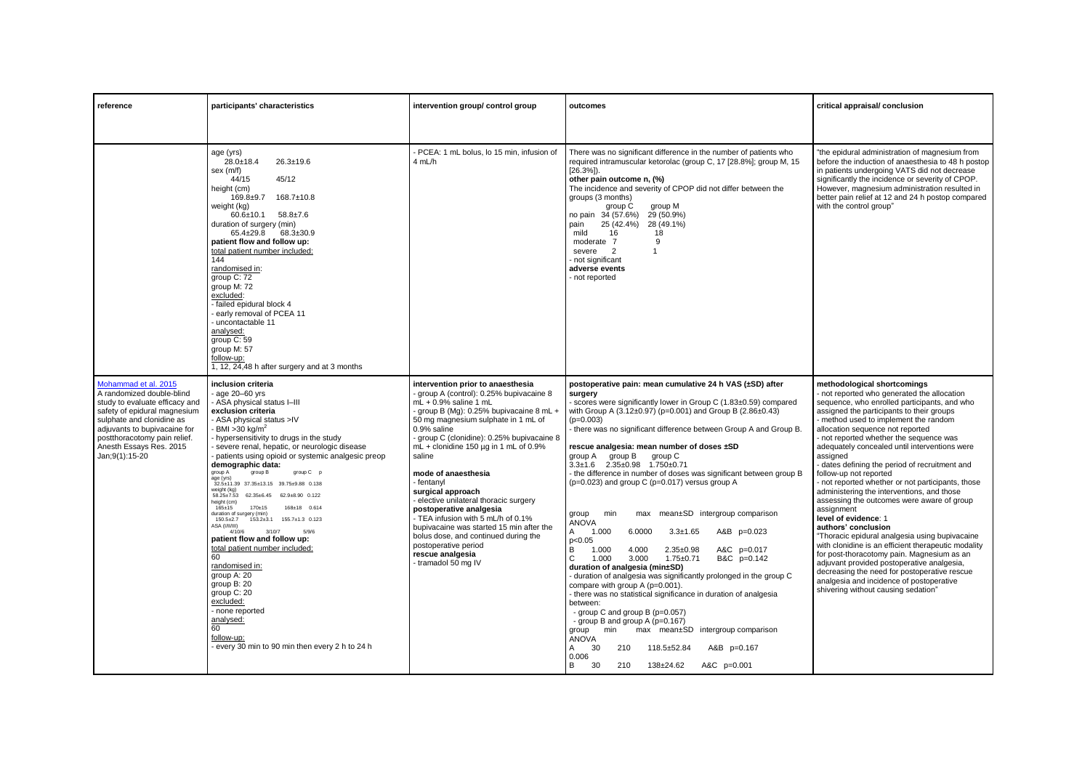| reference                                                                                                                                                                                                                                                       | participants' characteristics                                                                                                                                                                                                                                                                                                                                                                                                                                                                                                                                                                                                                                                                                                                                                                                                                                                                                                               | intervention group/ control group                                                                                                                                                                                                                                                                                                                                                                                                                                                                                                                                                                                           | outcomes                                                                                                                                                                                                                                                                                                                                                                                                                                                                                                                                                                                                                                                                                                                                                                                                                                                                                                                                                                                                                                                                                                                                                                                                                                                                                         | critical appraisal/ conclusion                                                                                                                                                                                                                                                                                                                                                                                                                                                                                                                                                                                                                                                                                                                                                                                                                                                                                                                                                                 |
|-----------------------------------------------------------------------------------------------------------------------------------------------------------------------------------------------------------------------------------------------------------------|---------------------------------------------------------------------------------------------------------------------------------------------------------------------------------------------------------------------------------------------------------------------------------------------------------------------------------------------------------------------------------------------------------------------------------------------------------------------------------------------------------------------------------------------------------------------------------------------------------------------------------------------------------------------------------------------------------------------------------------------------------------------------------------------------------------------------------------------------------------------------------------------------------------------------------------------|-----------------------------------------------------------------------------------------------------------------------------------------------------------------------------------------------------------------------------------------------------------------------------------------------------------------------------------------------------------------------------------------------------------------------------------------------------------------------------------------------------------------------------------------------------------------------------------------------------------------------------|--------------------------------------------------------------------------------------------------------------------------------------------------------------------------------------------------------------------------------------------------------------------------------------------------------------------------------------------------------------------------------------------------------------------------------------------------------------------------------------------------------------------------------------------------------------------------------------------------------------------------------------------------------------------------------------------------------------------------------------------------------------------------------------------------------------------------------------------------------------------------------------------------------------------------------------------------------------------------------------------------------------------------------------------------------------------------------------------------------------------------------------------------------------------------------------------------------------------------------------------------------------------------------------------------|------------------------------------------------------------------------------------------------------------------------------------------------------------------------------------------------------------------------------------------------------------------------------------------------------------------------------------------------------------------------------------------------------------------------------------------------------------------------------------------------------------------------------------------------------------------------------------------------------------------------------------------------------------------------------------------------------------------------------------------------------------------------------------------------------------------------------------------------------------------------------------------------------------------------------------------------------------------------------------------------|
|                                                                                                                                                                                                                                                                 |                                                                                                                                                                                                                                                                                                                                                                                                                                                                                                                                                                                                                                                                                                                                                                                                                                                                                                                                             |                                                                                                                                                                                                                                                                                                                                                                                                                                                                                                                                                                                                                             |                                                                                                                                                                                                                                                                                                                                                                                                                                                                                                                                                                                                                                                                                                                                                                                                                                                                                                                                                                                                                                                                                                                                                                                                                                                                                                  |                                                                                                                                                                                                                                                                                                                                                                                                                                                                                                                                                                                                                                                                                                                                                                                                                                                                                                                                                                                                |
|                                                                                                                                                                                                                                                                 | age (yrs)<br>$28.0 \pm 18.4$<br>$26.3 \pm 19.6$<br>sex (m/f)<br>44/15<br>45/12<br>height (cm)<br>169.8±9.7 168.7±10.8<br>weight (kg)<br>$60.6 \pm 10.1$ 58.8 $\pm 7.6$<br>duration of surgery (min)<br>$65.4 \pm 29.8$ $68.3 \pm 30.9$<br>patient flow and follow up:<br>total patient number included:<br>144<br>randomised in:<br>aroup C: 72<br>group M: 72<br>excluded:<br>failed epidural block 4<br>early removal of PCEA 11<br>uncontactable 11<br>analysed:<br>group C: 59<br>group M: 57<br>follow-up:<br>1, 12, 24,48 h after surgery and at 3 months                                                                                                                                                                                                                                                                                                                                                                             | PCEA: 1 mL bolus, lo 15 min, infusion of<br>4 mL/h                                                                                                                                                                                                                                                                                                                                                                                                                                                                                                                                                                          | There was no significant difference in the number of patients who<br>required intramuscular ketorolac (group C, 17 [28.8%]; group M, 15<br>$[26.3\%]$ ).<br>other pain outcome n, (%)<br>The incidence and severity of CPOP did not differ between the<br>groups (3 months)<br>group C<br>group M<br>no pain 34 (57.6%)<br>29 (50.9%)<br>25 (42.4%) 28 (49.1%)<br>pain<br>mild<br>16<br>18<br>9<br>moderate 7<br>2<br>severe<br>$\overline{1}$<br>not significant<br>adverse events<br>not reported                                                                                                                                                                                                                                                                                                                                                                                                                                                                                                                                                                                                                                                                                                                                                                                              | "the epidural administration of magnesium from<br>before the induction of anaesthesia to 48 h postop<br>in patients undergoing VATS did not decrease<br>significantly the incidence or severity of CPOP.<br>However, magnesium administration resulted in<br>better pain relief at 12 and 24 h postop compared<br>with the control group"                                                                                                                                                                                                                                                                                                                                                                                                                                                                                                                                                                                                                                                      |
| Mohammad et al. 2015<br>A randomized double-blind<br>study to evaluate efficacy and<br>safety of epidural magnesium<br>sulphate and clonidine as<br>adjuvants to bupivacaine for<br>postthoracotomy pain relief.<br>Anesth Essays Res. 2015<br>Jan; 9(1): 15-20 | inclusion criteria<br>age 20-60 yrs<br>- ASA physical status I-III<br>exclusion criteria<br>ASA physical status >IV<br>BMI > 30 kg/m <sup>2</sup><br>- hypersensitivity to drugs in the study<br>severe renal, hepatic, or neurologic disease<br>patients using opioid or systemic analgesic preop<br>demographic data:<br>group A<br>group B<br>group C p<br>age (yrs)<br>32.5±11.39 37.35±13.15 39.75±9.88 0.138<br>weight (kg)<br>62.35±6.45 62.9±8.90 0.122<br>$58.25 \pm 7.53$<br>height (cm)<br>$170 + 15$<br>$165 \pm 15$<br>168±18 0.614<br>duration of surgery (min)<br>$150.5 \pm 2.7$<br>$153.2 + 3.1$<br>155.7±1.3 0.123<br>ASA (I/II/III)<br>3/10/7<br>4/10/6<br>5/9/6<br>patient flow and follow up:<br>total patient number included:<br>60<br>randomised in:<br>group A: 20<br>group B: 20<br>group C: 20<br>excluded:<br>- none reported<br>analysed:<br>60<br>follow-up:<br>every 30 min to 90 min then every 2 h to 24 h | intervention prior to anaesthesia<br>group A (control): 0.25% bupivacaine 8<br>mL + 0.9% saline 1 mL<br>group B (Mg): 0.25% bupivacaine 8 mL +<br>50 mg magnesium sulphate in 1 mL of<br>0.9% saline<br>group C (clonidine): 0.25% bupivacaine 8<br>$mL$ + clonidine 150 µg in 1 mL of 0.9%<br>saline<br>mode of anaesthesia<br>- fentanyl<br>surgical approach<br>elective unilateral thoracic surgery<br>postoperative analgesia<br>TEA infusion with 5 mL/h of 0.1%<br>bupivacaine was started 15 min after the<br>bolus dose, and continued during the<br>postoperative period<br>rescue analgesia<br>tramadol 50 mg IV | postoperative pain: mean cumulative 24 h VAS (±SD) after<br>surgery<br>scores were significantly lower in Group C (1.83±0.59) compared<br>with Group A (3.12±0.97) (p=0.001) and Group B (2.86±0.43)<br>$(p=0.003)$<br>there was no significant difference between Group A and Group B.<br>rescue analgesia: mean number of doses ±SD<br>group A group B<br>group C<br>$3.3 \pm 1.6$ $2.35 \pm 0.98$ $1.750 \pm 0.71$<br>- the difference in number of doses was significant between group B<br>(p=0.023) and group C (p=0.017) versus group A<br>max mean±SD intergroup comparison<br>group<br>min<br><b>ANOVA</b><br>1.000<br>6.0000<br>$3.3 \pm 1.65$<br>A&B p=0.023<br>A<br>p<0.05<br>1.000<br>4.000<br>$2.35 \pm 0.98$<br>A&C p=0.017<br>B<br>$\mathbf{C}$<br>3.000<br>$1.75 + 0.71$<br>B&C p=0.142<br>1.000<br>duration of analgesia (min±SD)<br>- duration of analgesia was significantly prolonged in the group C<br>compare with group A (p=0.001).<br>- there was no statistical significance in duration of analgesia<br>between:<br>- group C and group B $(p=0.057)$<br>- group B and group A (p=0.167)<br>max mean±SD intergroup comparison<br>aroup<br>min<br><b>ANOVA</b><br>30<br>118.5±52.84<br>A&B p=0.167<br>A<br>210<br>0.006<br>210<br>138±24.62<br>A&C p=0.001<br>B<br>30 | methodological shortcomings<br>- not reported who generated the allocation<br>sequence, who enrolled participants, and who<br>assigned the participants to their groups<br>- method used to implement the random<br>allocation sequence not reported<br>- not reported whether the sequence was<br>adequately concealed until interventions were<br>assigned<br>- dates defining the period of recruitment and<br>follow-up not reported<br>- not reported whether or not participants, those<br>administering the interventions, and those<br>assessing the outcomes were aware of group<br>assignment<br>level of evidence: 1<br>authors' conclusion<br>"Thoracic epidural analgesia using bupivacaine<br>with clonidine is an efficient therapeutic modality<br>for post-thoracotomy pain. Magnesium as an<br>adjuvant provided postoperative analgesia,<br>decreasing the need for postoperative rescue<br>analgesia and incidence of postoperative<br>shivering without causing sedation" |